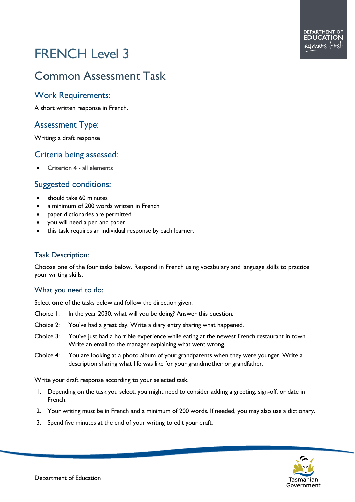# FRENCH Level 3

# Common Assessment Task

### Work Requirements:

A short written response in French.

# Assessment Type:

Writing: a draft response

#### Criteria being assessed:

• Criterion 4 - all elements

## Suggested conditions:

- should take 60 minutes
- a minimum of 200 words written in French
- paper dictionaries are permitted
- you will need a pen and paper
- this task requires an individual response by each learner.

#### Task Description:

Choose one of the four tasks below. Respond in French using vocabulary and language skills to practice your writing skills.

#### What you need to do:

Select **one** of the tasks below and follow the direction given.

- Choice 1: In the year 2030, what will you be doing? Answer this question.
- Choice 2: You've had a great day. Write a diary entry sharing what happened.
- Choice 3: You've just had a horrible experience while eating at the newest French restaurant in town. Write an email to the manager explaining what went wrong.
- Choice 4: You are looking at a photo album of your grandparents when they were younger. Write a description sharing what life was like for your grandmother or grandfather.

Write your draft response according to your selected task.

- 1. Depending on the task you select, you might need to consider adding a greeting, sign-off, or date in French.
- 2. Your writing must be in French and a minimum of 200 words. If needed, you may also use a dictionary.
- 3. Spend five minutes at the end of your writing to edit your draft.